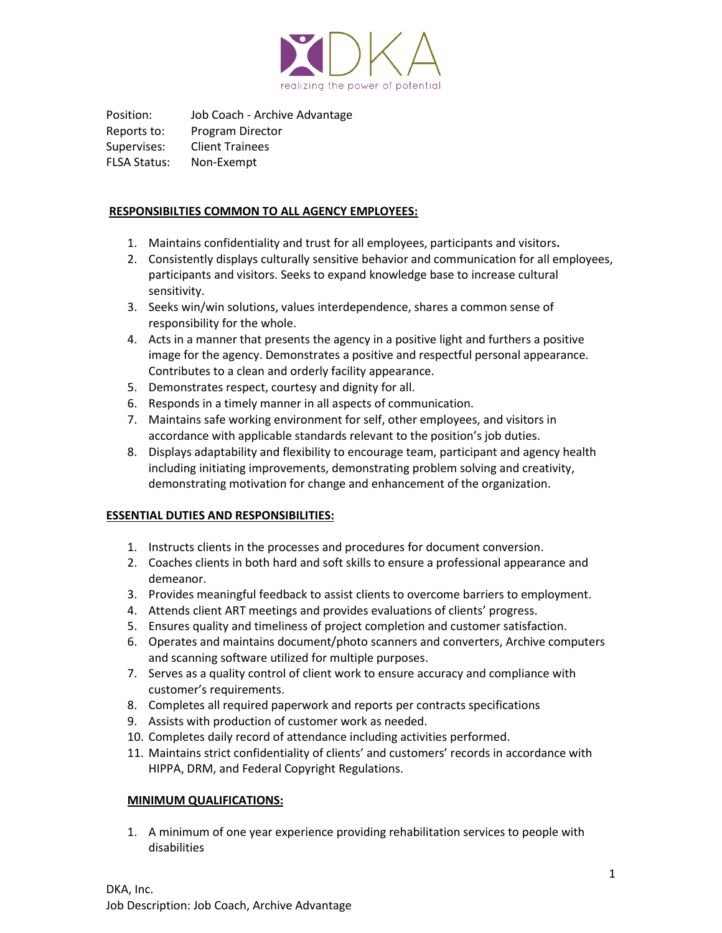

Position: Job Coach - Archive Advantage Reports to: Program Director Supervises: Client Trainees FLSA Status: Non-Exempt

## **RESPONSIBILTIES COMMON TO ALL AGENCY EMPLOYEES:**

- 1. Maintains confidentiality and trust for all employees, participants and visitors**.**
- 2. Consistently displays culturally sensitive behavior and communication for all employees, participants and visitors. Seeks to expand knowledge base to increase cultural sensitivity.
- 3. Seeks win/win solutions, values interdependence, shares a common sense of responsibility for the whole.
- 4. Acts in a manner that presents the agency in a positive light and furthers a positive image for the agency. Demonstrates a positive and respectful personal appearance. Contributes to a clean and orderly facility appearance.
- 5. Demonstrates respect, courtesy and dignity for all.
- 6. Responds in a timely manner in all aspects of communication.
- 7. Maintains safe working environment for self, other employees, and visitors in accordance with applicable standards relevant to the position's job duties.
- 8. Displays adaptability and flexibility to encourage team, participant and agency health including initiating improvements, demonstrating problem solving and creativity, demonstrating motivation for change and enhancement of the organization.

## **ESSENTIAL DUTIES AND RESPONSIBILITIES:**

- 1. Instructs clients in the processes and procedures for document conversion.
- 2. Coaches clients in both hard and soft skills to ensure a professional appearance and demeanor.
- 3. Provides meaningful feedback to assist clients to overcome barriers to employment.
- 4. Attends client ART meetings and provides evaluations of clients' progress.
- 5. Ensures quality and timeliness of project completion and customer satisfaction.
- 6. Operates and maintains document/photo scanners and converters, Archive computers and scanning software utilized for multiple purposes.
- 7. Serves as a quality control of client work to ensure accuracy and compliance with customer's requirements.
- 8. Completes all required paperwork and reports per contracts specifications
- 9. Assists with production of customer work as needed.
- 10. Completes daily record of attendance including activities performed.
- 11. Maintains strict confidentiality of clients' and customers' records in accordance with HIPPA, DRM, and Federal Copyright Regulations.

## **MINIMUM QUALIFICATIONS:**

1. A minimum of one year experience providing rehabilitation services to people with disabilities